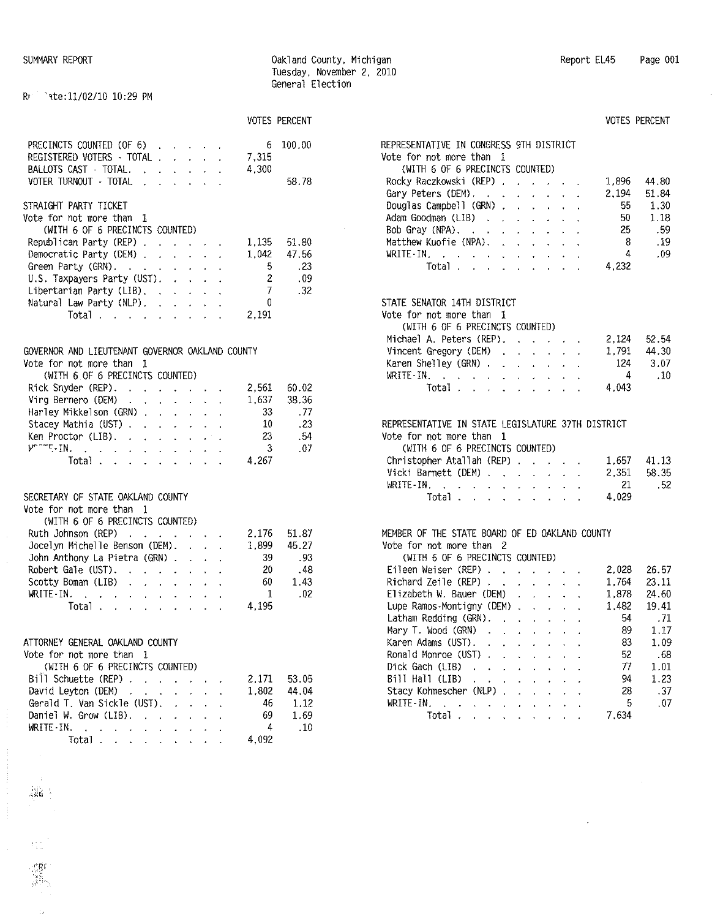**VOTES PERCENT** 

# R! *-,te:1l/02/l0* 10:29 PM

| PRECINCTS COUNTED (OF 6)<br>REGISTERED VOTERS - TOTAL<br>BALLOTS CAST - TOTAL.<br>VOTER TURNOUT - TOTAL ( ) , , , , , , |  |  | 6<br>7,315<br>4.300 | 100.00<br>58.78 |
|-------------------------------------------------------------------------------------------------------------------------|--|--|---------------------|-----------------|
| STRAIGHT PARTY TICKET<br>Vote for not more than 1                                                                       |  |  |                     |                 |
| (WITH 6 OF 6 PRECINCTS COUNTED)                                                                                         |  |  |                     |                 |
| Republican Party (REP) $\ldots$ $\ldots$                                                                                |  |  |                     | 1.135 51.80     |
| Democratic Party (DEM)                                                                                                  |  |  | 1.042               | 47.56           |
| Green Party $(GRN)$ , , , , , , , ,                                                                                     |  |  | 5.                  | . 23            |
| $U.S.$ Taxpayers Party (UST). $\cdot \cdot \cdot$                                                                       |  |  | 2                   | . 09            |
| Libertarian Party (LIB), $\cdot$ , $\cdot$ , $\cdot$                                                                    |  |  | 7 <sup>7</sup>      | - 32            |
| Natural Law Party (NLP) $\ldots$                                                                                        |  |  | 0                   |                 |
| Total                                                                                                                   |  |  | 2.191               |                 |

#### GOVERNOR AND LIEUTENANT GOVERNOR OAKLAND COUNTY Vote for not more than 1

| vote for not more than th                                                                                                                                                                                                                                                                                                                                                                                                               |  |  |          |       |
|-----------------------------------------------------------------------------------------------------------------------------------------------------------------------------------------------------------------------------------------------------------------------------------------------------------------------------------------------------------------------------------------------------------------------------------------|--|--|----------|-------|
| (WITH 6 OF 6 PRECINCTS COUNTED)                                                                                                                                                                                                                                                                                                                                                                                                         |  |  |          |       |
| Rick Snyder (REP).                                                                                                                                                                                                                                                                                                                                                                                                                      |  |  | 2,561    | 60.02 |
| Virg Bernero (DEM) $\cdot \cdot \cdot \cdot \cdot$                                                                                                                                                                                                                                                                                                                                                                                      |  |  | 1.637    | 38.36 |
| Harley Mikkelson (GRN)                                                                                                                                                                                                                                                                                                                                                                                                                  |  |  | 33       | . 77  |
| Stacey Mathia (UST)                                                                                                                                                                                                                                                                                                                                                                                                                     |  |  | 10       | . 23  |
| Ken Proctor (LIB).                                                                                                                                                                                                                                                                                                                                                                                                                      |  |  | 23       | . 54  |
| $\mathcal{V}^{\mathbf{p},\mathbf{p},\mathbf{p}}\mathbf{F}_{\mathbf{p}}\mathbf{F}_{\mathbf{p}}\mathbf{F}_{\mathbf{p}}\mathbf{F}_{\mathbf{p}}\mathbf{F}_{\mathbf{p}}\mathbf{F}_{\mathbf{p}}\mathbf{F}_{\mathbf{p}}\mathbf{F}_{\mathbf{p}}\mathbf{F}_{\mathbf{p}}\mathbf{F}_{\mathbf{p}}\mathbf{F}_{\mathbf{p}}\mathbf{F}_{\mathbf{p}}\mathbf{F}_{\mathbf{p}}\mathbf{F}_{\mathbf{p}}\mathbf{F}_{\mathbf{p}}\mathbf{F}_{\mathbf{p}}\mathbf$ |  |  | $\sim$ 3 | .07   |
| $Total \cdot \cdot \cdot \cdot \cdot \cdot \cdot \cdot$                                                                                                                                                                                                                                                                                                                                                                                 |  |  | 4.267    |       |
|                                                                                                                                                                                                                                                                                                                                                                                                                                         |  |  |          |       |
| SECRETARY OF STATE OAKLAND COUNTY                                                                                                                                                                                                                                                                                                                                                                                                       |  |  |          |       |
| Vote for not more than 1                                                                                                                                                                                                                                                                                                                                                                                                                |  |  |          |       |
| (WITH 6 OF 6 PRECINCTS COUNTED)                                                                                                                                                                                                                                                                                                                                                                                                         |  |  |          |       |
| Ruth Johnson (REP)                                                                                                                                                                                                                                                                                                                                                                                                                      |  |  | 2.176    | 51.87 |
| Jocelyn Michelle Benson (DEM).                                                                                                                                                                                                                                                                                                                                                                                                          |  |  | 1.899    | 45.27 |
| John Anthony La Pietra (GRN)                                                                                                                                                                                                                                                                                                                                                                                                            |  |  | 39.      | . 93  |
| Robert Gale (UST). $\cdot \cdot \cdot \cdot \cdot$                                                                                                                                                                                                                                                                                                                                                                                      |  |  | 20       | . 48  |
| Scotty Boman (LIB)                                                                                                                                                                                                                                                                                                                                                                                                                      |  |  | 60.      | 1.43  |
| WRITE-IN. $\cdots$                                                                                                                                                                                                                                                                                                                                                                                                                      |  |  | 1        | .02   |
| Total                                                                                                                                                                                                                                                                                                                                                                                                                                   |  |  | 4,195    |       |
|                                                                                                                                                                                                                                                                                                                                                                                                                                         |  |  |          |       |

# ATTORNEY GENERAL OAKLAND COUNTY

Vote for not more than 1

| (WITH 6 OF 6 PRECINCTS COUNTED) |  |  |  |  |                                                 |       |
|---------------------------------|--|--|--|--|-------------------------------------------------|-------|
| Bill Schuette (REP)             |  |  |  |  | 2.171 53.05                                     |       |
| David Leyton (DEM)              |  |  |  |  | 1.802                                           | 44.04 |
| Gerald T. Van Sickle (UST).     |  |  |  |  | 46 1.12                                         |       |
|                                 |  |  |  |  | Daniel W. Grow (LIB). $\qquad \qquad$ 69        | 1.69  |
|                                 |  |  |  |  |                                                 |       |
|                                 |  |  |  |  | Total $\ldots$ $\ldots$ $\ldots$ $\ldots$ 4,092 |       |
|                                 |  |  |  |  |                                                 |       |

Eil<br>Ric Lup Lat Mar Kar Ron<br>Dic

|                                                                       |                      |                                                                                                                                                                                                                                                                                                                                                                                          |                                                                                         |                                                             |              |                | <b>VOTES PERCENT</b> |
|-----------------------------------------------------------------------|----------------------|------------------------------------------------------------------------------------------------------------------------------------------------------------------------------------------------------------------------------------------------------------------------------------------------------------------------------------------------------------------------------------------|-----------------------------------------------------------------------------------------|-------------------------------------------------------------|--------------|----------------|----------------------|
| REPRESENTATIVE IN CONGRESS 9TH DISTRICT<br>Vote for not more than 1   |                      |                                                                                                                                                                                                                                                                                                                                                                                          |                                                                                         |                                                             |              |                |                      |
| (WITH 6 OF 6 PRECINCTS COUNTED)                                       |                      |                                                                                                                                                                                                                                                                                                                                                                                          |                                                                                         |                                                             |              |                |                      |
| Rocky Raczkowski (REP)                                                |                      |                                                                                                                                                                                                                                                                                                                                                                                          |                                                                                         |                                                             |              | 1,896          | 44.80                |
|                                                                       |                      |                                                                                                                                                                                                                                                                                                                                                                                          |                                                                                         |                                                             |              | 2,194          | 51.84                |
| Gary Peters (DEM).<br>Douglas Campbell (GRN)                          |                      | $\ddot{\phantom{a}}$<br><b>Service</b> State                                                                                                                                                                                                                                                                                                                                             |                                                                                         | $\mathcal{L}^{\text{max}}$ , and $\mathcal{L}^{\text{max}}$ |              | 55             | 1.30                 |
|                                                                       |                      |                                                                                                                                                                                                                                                                                                                                                                                          |                                                                                         |                                                             |              | 50             | 1.18                 |
| Adam Goodman (LIB)                                                    |                      |                                                                                                                                                                                                                                                                                                                                                                                          |                                                                                         |                                                             |              |                |                      |
| Bob Gray (NPA),<br>Matthew Kuofie (NPA).                              |                      |                                                                                                                                                                                                                                                                                                                                                                                          |                                                                                         |                                                             |              | 25<br>$-8$     | .59                  |
|                                                                       |                      |                                                                                                                                                                                                                                                                                                                                                                                          | $\sigma_{\rm c}$ , $\sigma_{\rm c}$ , $\sigma$                                          |                                                             |              | $\overline{4}$ | .19                  |
| WRITE-IN.<br>l.<br>Total                                              |                      | <b>Contract Contract Contract</b>                                                                                                                                                                                                                                                                                                                                                        |                                                                                         |                                                             |              |                | .09                  |
|                                                                       |                      |                                                                                                                                                                                                                                                                                                                                                                                          |                                                                                         |                                                             |              | 4,232          |                      |
| STATE SENATOR 14TH DISTRICT                                           |                      |                                                                                                                                                                                                                                                                                                                                                                                          |                                                                                         |                                                             |              |                |                      |
| Vote for not more than<br>1                                           |                      |                                                                                                                                                                                                                                                                                                                                                                                          |                                                                                         |                                                             |              |                |                      |
| (WITH 6 OF 6 PRECINCTS COUNTED)                                       |                      |                                                                                                                                                                                                                                                                                                                                                                                          |                                                                                         |                                                             |              |                |                      |
| Michael A. Peters (REP). .                                            |                      |                                                                                                                                                                                                                                                                                                                                                                                          | $\mathcal{A}^{\mathcal{A}}$ , $\mathcal{A}^{\mathcal{A}}$ , $\mathcal{A}^{\mathcal{A}}$ |                                                             |              |                | 2,124 52.54          |
| Vincent Gregory (DEM)                                                 |                      |                                                                                                                                                                                                                                                                                                                                                                                          |                                                                                         |                                                             |              | 1,791          | 44.30                |
| Karen Shelley (GRN)                                                   |                      |                                                                                                                                                                                                                                                                                                                                                                                          |                                                                                         |                                                             |              |                | 124 3.07             |
| WRITE-IN $\cdots$ $\cdots$ $\cdots$                                   |                      |                                                                                                                                                                                                                                                                                                                                                                                          |                                                                                         |                                                             |              | $-4$           | .10                  |
| Total .<br>المنابع والمعارض والمعارض والمحارب                         |                      |                                                                                                                                                                                                                                                                                                                                                                                          |                                                                                         |                                                             |              | 4,043          |                      |
|                                                                       |                      |                                                                                                                                                                                                                                                                                                                                                                                          |                                                                                         |                                                             |              |                |                      |
| REPRESENTATIVE IN STATE LEGISLATURE 37TH DISTRICT                     |                      |                                                                                                                                                                                                                                                                                                                                                                                          |                                                                                         |                                                             |              |                |                      |
| Vote for not more than<br>1                                           |                      |                                                                                                                                                                                                                                                                                                                                                                                          |                                                                                         |                                                             |              |                |                      |
| (WITH 6 OF 6 PRECINCTS COUNTED)                                       |                      |                                                                                                                                                                                                                                                                                                                                                                                          |                                                                                         |                                                             |              |                |                      |
| Christopher Atallah (REP)                                             |                      |                                                                                                                                                                                                                                                                                                                                                                                          |                                                                                         |                                                             |              | 1,657          | 41.13                |
| Vicki Barnett (DEM)                                                   |                      |                                                                                                                                                                                                                                                                                                                                                                                          |                                                                                         |                                                             |              | 2,351          | 58.35                |
| WRITE-IN.                                                             |                      |                                                                                                                                                                                                                                                                                                                                                                                          |                                                                                         |                                                             |              | 21             | .52                  |
| I.<br>Total                                                           |                      | $\begin{aligned} \mathbf{A}^{(1)} &\mathbf{A}^{(2)} &\mathbf{A}^{(3)} &\mathbf{A}^{(4)} &\mathbf{A}^{(5)} \\ \mathbf{A}^{(2)} &\mathbf{A}^{(3)} &\mathbf{A}^{(3)} &\mathbf{A}^{(4)} &\mathbf{A}^{(5)} \\ \mathbf{A}^{(3)} &\mathbf{A}^{(3)} &\mathbf{A}^{(3)} &\mathbf{A}^{(4)} &\mathbf{A}^{(5)} \\ \mathbf{A}^{(4)} &\mathbf{A}^{(5)} &\mathbf{A}^{(5)} &\mathbf{A}^{(5)} &\mathbf{A}$ |                                                                                         |                                                             | $\mathbf{r}$ | 4,029          |                      |
|                                                                       |                      |                                                                                                                                                                                                                                                                                                                                                                                          |                                                                                         |                                                             |              |                |                      |
| MEMBER OF THE STATE BOARD OF ED OAKLAND COUNTY                        |                      |                                                                                                                                                                                                                                                                                                                                                                                          |                                                                                         |                                                             |              |                |                      |
| Vote for not more than<br>2                                           |                      |                                                                                                                                                                                                                                                                                                                                                                                          |                                                                                         |                                                             |              |                |                      |
| (WITH 6 OF 6 PRECINCTS COUNTED)                                       |                      |                                                                                                                                                                                                                                                                                                                                                                                          |                                                                                         |                                                             |              |                |                      |
| Eileen Weiser (REP)                                                   |                      |                                                                                                                                                                                                                                                                                                                                                                                          |                                                                                         |                                                             |              | 2,028<br>1,764 | 26.57                |
| Richard Zeile (REP)<br>Elizabeth W. Bauer (DEM)                       |                      |                                                                                                                                                                                                                                                                                                                                                                                          |                                                                                         |                                                             |              |                | 23.11                |
|                                                                       |                      |                                                                                                                                                                                                                                                                                                                                                                                          |                                                                                         |                                                             |              | 1,878          | 24.60                |
| Lupe Ramos-Montigny (DEM)                                             |                      |                                                                                                                                                                                                                                                                                                                                                                                          |                                                                                         |                                                             |              | 1,482          | 19.41                |
| Latham Redding (GRN).                                                 |                      | $\mathcal{A}=\mathcal{A}=\mathcal{A}=\mathcal{A}=\mathcal{A}=\mathcal{A}=\mathcal{A}$ .                                                                                                                                                                                                                                                                                                  |                                                                                         |                                                             |              | 54             | .71                  |
| Mary T. Wood (GRN)<br>J.                                              |                      |                                                                                                                                                                                                                                                                                                                                                                                          |                                                                                         |                                                             |              | 89             | 1.17                 |
| Karen Adams (UST).                                                    | $\ddot{\phantom{a}}$ |                                                                                                                                                                                                                                                                                                                                                                                          |                                                                                         |                                                             |              | 83             | 1.09                 |
| Ronald Monroe (UST).<br>$\ddot{\phantom{0}}$                          |                      | ı.                                                                                                                                                                                                                                                                                                                                                                                       |                                                                                         |                                                             |              | 52             | .68                  |
| Dick Gach (LIB)<br>l,<br>$\ddot{\phantom{0}}$<br>$\ddot{\phantom{0}}$ | $\cdot$              | ¥,                                                                                                                                                                                                                                                                                                                                                                                       |                                                                                         |                                                             |              | 77             | 1.01                 |
| Bill Hall (LIB)                                                       |                      |                                                                                                                                                                                                                                                                                                                                                                                          |                                                                                         |                                                             |              | 94             | 1.23                 |
| Stacy Kohmescher (NLP)                                                | $\overline{a}$       | l.                                                                                                                                                                                                                                                                                                                                                                                       |                                                                                         |                                                             |              | 28             | .37                  |
| WRITE-IN.<br>$\ddot{\phantom{0}}$                                     | $\ddot{\phantom{0}}$ | $\ddot{\phantom{0}}$                                                                                                                                                                                                                                                                                                                                                                     | $\ddot{\phantom{0}}$                                                                    |                                                             |              | 5              | .07                  |
| Total.<br>¥.                                                          |                      |                                                                                                                                                                                                                                                                                                                                                                                          |                                                                                         |                                                             |              |                |                      |
|                                                                       | ÷.                   | $\ddot{\phantom{0}}$                                                                                                                                                                                                                                                                                                                                                                     | ÷.                                                                                      |                                                             |              | 7,634          |                      |

 $\mathcal{C}_{\mathcal{C},\mathcal{C}}^{(1)}$ ျာစွင့ iya.<br>Mirin

 $\mathbb{R}^2$ 

Ĵ

 $\bar{z}$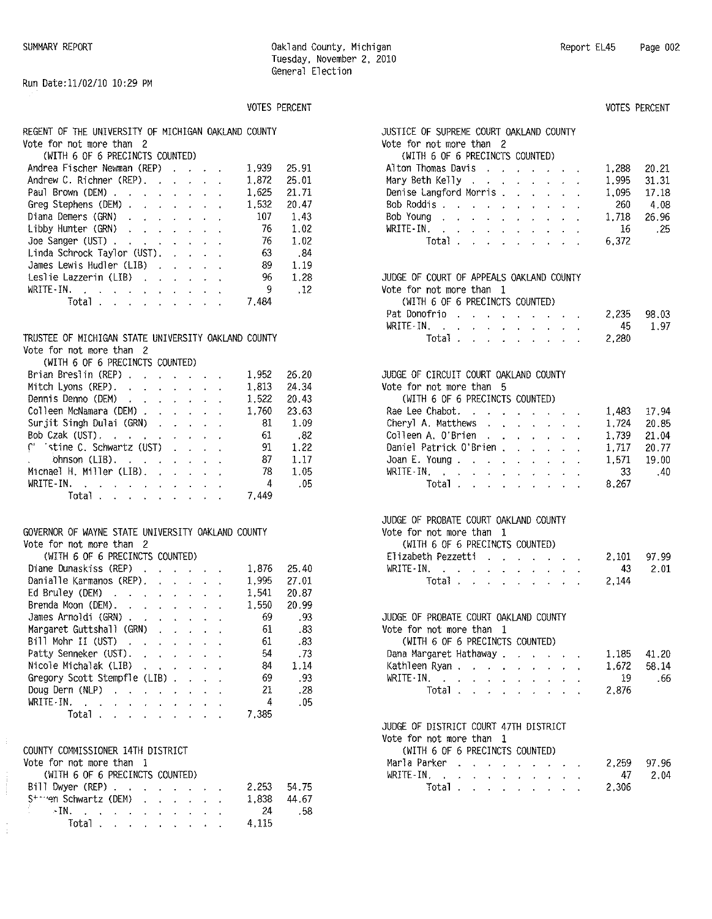# VOTES PERCENT VOTES PERCENT

| REGENT OF THE UNIVERSITY OF MICHIGAN OAKLAND COUNTY | JUSTICE OF SUPREME COURT OAKLAND COUNTY |  |  |
|-----------------------------------------------------|-----------------------------------------|--|--|
| Vote for not more than 2                            | Vote for not more than 2                |  |  |

| Andrea Fischer Newman (REP)                          |  |  | 1.939 25.91 |       | 20.21<br>Alton Thomas Davis<br>1,288                          |
|------------------------------------------------------|--|--|-------------|-------|---------------------------------------------------------------|
| Andrew C. Richner (REP).                             |  |  | 1.872       | 25.01 | Mary Beth Kelly 1,995<br>31.31                                |
| Paul Brown (DEM)                                     |  |  | 1,625       | 21.71 | Denise Langford Morris 1,095<br>17.18                         |
| Greg Stephens (DEM)                                  |  |  | 1.532       | 20.47 | Bob Roddis<br>- 260<br>4.08                                   |
| Diana Demers (GRN) 107                               |  |  |             | 1.43  | Bob Young<br>26.96<br>1,718                                   |
| Libby Hunter (GRN) 76                                |  |  |             | 1.02  | WRITE-IN $\blacksquare$ , , , , , , , , , , , , , 16<br>- 25  |
| Joe Sanger (UST) $\ldots$ $\ldots$ $\ldots$ $\ldots$ |  |  | 76          | 1.02  | $Total \, . \, . \, . \, . \, . \, . \, . \, . \, .$<br>6,372 |
| Linda Schrock Taylor (UST).                          |  |  | -63         | . 84  |                                                               |
| James Lewis Hudler (LIB)                             |  |  | -89         | 1.19  |                                                               |
|                                                      |  |  | 96.         | 1.28  | JUDGE OF COURT OF APPEALS OAKLAND COUNTY                      |
| $WRITE-IN$ , , , , , , , , , , ,                     |  |  | 9           | .12   | Vote for not more than 1                                      |
| Total, , , , , , , , ,                               |  |  | 7.484       |       | (WITH 6 OF 6 PRECINCTS COUNTED)                               |

# TRUSTEE OF MICHIGAN STATE UNIVERSITY OAKLAND COUNTY Vote for not more than 2

| Brian Breslin (REP).                                      |  |  | 1,952 26.20 |         | JUDGE OF CIRCUIT COURT OAKLAND COUNTY                      |
|-----------------------------------------------------------|--|--|-------------|---------|------------------------------------------------------------|
| Mitch Lyons (REP). $\ldots$ 1.813                         |  |  |             | 24.34   | Vote for not more than 5                                   |
| Dennis Denno (DEM)                                        |  |  | 1.522       | 20.43   | (WITH 6 OF 6 PRECINCTS COUNTED)                            |
| Colleen McNamara (DEM) 1,760                              |  |  |             | 23.63   | 1,483<br>Rae Lee Chabot.                                   |
| Surjit Singh Dulai (GRN) 81 1.09                          |  |  |             |         | 1,724<br>Cheryl A. Matthews                                |
| Bob Czak (UST), , , , , , , , , , , 61 .82                |  |  |             |         | Colleen A. O'Brien<br>1,739                                |
| $\binom{1}{1}$ stine C. Schwartz (UST) $\ldots$ . 91 1.22 |  |  |             |         | Daniel Patrick O'Brien<br>1,717                            |
|                                                           |  |  |             | 87 1.17 | 1.571<br>Joan E. Young. $\ldots$                           |
| Michael H. Miller (LIB). $\ldots$ $\ldots$ 78             |  |  |             | -1.05   | - 33<br>WRITE-IN $\ldots$ $\ldots$ $\ldots$                |
| WRITE-IN, $\cdots$ , $\cdots$                             |  |  |             | 4.05    | 8.267<br>$Total \cdot \cdot \cdot \cdot \cdot \cdot \cdot$ |
| Total, 7,449                                              |  |  |             |         |                                                            |

# GOVERNOR OF WAYNE STATE UNIVERSITY OAKLAND COUNTY Vote for not more than 2

| <b>ANATH O OF O FREGING LO GOOD LED!</b>   |       |       | LILOUCUIFCLACULI I I II<br>$L = LU$    |
|--------------------------------------------|-------|-------|----------------------------------------|
| Diane Dunaskiss (REP)                      | 1.876 | 25.40 | - 43<br>$WRITE-IN$ , , , , , , , , , , |
| Danialle Karmanos (REP).                   | 1.995 | 27.01 | 2.144<br>Total, , , , , , , , ,        |
| Ed Bruley (DEM) $\cdots$ $\cdots$ $\cdots$ | 1.541 | 20.87 |                                        |
| Brenda Moon (DEM).                         | 1,550 | 20.99 |                                        |
| James Arnoldi (GRN)                        | 69    | - 93  | JUDGE OF PROBATE COURT OAKLAND COUNTY  |
| Margaret Guttshall (GRN)                   | 61    | . 83  | Vote for not more than 1               |
| Bill Mohr II (UST)                         | 61    | .83   | (WITH 6 OF 6 PRECINCTS COUNTED)        |
| Patty Senneker (UST).                      | 54    | . 73  | 1.185<br>Dana Margaret Hathaway        |
| Nicole Michalak (LIB) $\ldots$ $\ldots$    | 84    | 1.14  | 1.672<br>Kathleen Ryan                 |
| Gregory Scott Stempfle (LIB)               | 69    | . 93  | - 19<br>WRITE-IN, $\cdots$ , $\cdots$  |
| Doug Dern $(NLP)$ , , , , , , , , ,        | 21    | . 28  | 2.876<br>Total                         |
| WRITE-IN.                                  |       | .05   |                                        |
| Total $\ldots$ $\ldots$ $\ldots$           | 7.385 |       |                                        |
|                                            |       |       |                                        |

# COUNTY COMMISSIONER 14TH DISTRICT

 $\begin{array}{ccccccccc} \multicolumn{2}{c}{} & \multicolumn{2}{c}{} & \multicolumn{2}{c}{} & \multicolumn{2}{c}{} & \multicolumn{2}{c}{} & \multicolumn{2}{c}{} & \multicolumn{2}{c}{} & \multicolumn{2}{c}{} & \multicolumn{2}{c}{} & \multicolumn{2}{c}{} & \multicolumn{2}{c}{} & \multicolumn{2}{c}{} & \multicolumn{2}{c}{} & \multicolumn{2}{c}{} & \multicolumn{2}{c}{} & \multicolumn{2}{c}{} & \multicolumn{2}{c}{} & \multicolumn{2}{c}{} & \multicolumn{2}{c}{} & \mult$ 

|                  |  | Vote for not more than 1 |                                 |  |
|------------------|--|--------------------------|---------------------------------|--|
|                  |  |                          | (WITH 6 OF 6 PRECINCTS COUNTED) |  |
| 0.177 D.C. COPOL |  |                          |                                 |  |

| BIII DWYE'' (KEP)                                                                                                                                                                                                                 |  |  |  |  | 2.253 54.75 |        |
|-----------------------------------------------------------------------------------------------------------------------------------------------------------------------------------------------------------------------------------|--|--|--|--|-------------|--------|
| Strien Schwartz (DEM)                                                                                                                                                                                                             |  |  |  |  | 1.838       | -44.67 |
| $\text{NIN}$ . The set of the set of the set of the set of the set of the set of the set of the set of the set of the set of the set of the set of the set of the set of the set of the set of the set of the set of the set of t |  |  |  |  | -24         | . 58   |
| Total $\cdots$ $\cdots$ $\cdots$                                                                                                                                                                                                  |  |  |  |  | 4.115       |        |

| REGENT OF THE UNIVERSITY OF MICHIGAN OAKLAND COUNTY<br>Vote for not more than 2                                                    |       | JUSTICE OF SUPREME COURT OAKLAND COUNTY<br>Vote for not more than 2                                                                   |       |       |
|------------------------------------------------------------------------------------------------------------------------------------|-------|---------------------------------------------------------------------------------------------------------------------------------------|-------|-------|
| (WITH 6 OF 6 PRECINCTS COUNTED)                                                                                                    |       | (WITH 6 OF 6 PRECINCTS COUNTED)                                                                                                       |       |       |
|                                                                                                                                    |       |                                                                                                                                       |       |       |
| Andrea Fischer Newman (REP)<br>1,939                                                                                               | 25.91 | Alton Thomas Davis                                                                                                                    | 1,288 | 20.21 |
| Andrew C. Richner (REP).<br>1,872<br>and the state of the state of the                                                             | 25.01 | Mary Beth Kelly                                                                                                                       | 1,995 | 31.31 |
| Paul Brown (DEM)<br>1,625                                                                                                          | 21.71 | Denise Langford Morris                                                                                                                | 1,095 | 17.18 |
| Greg Stephens (DEM)<br>1,532                                                                                                       | 20.47 | Bob Roddis                                                                                                                            | 260   | 4.08  |
| Diana Demers (GRN)<br>107<br>the contract of the contract of the                                                                   | 1.43  | Bob Young                                                                                                                             | 1,718 | 26.96 |
| Libby Hunter (GRN)<br>76<br>and the contract of the con-                                                                           | 1.02  | WRITE-IN.                                                                                                                             | 16    | .25   |
| Joe Sanger (UST)<br>76                                                                                                             | 1.02  | Total $\cdots$ $\cdots$                                                                                                               | 6,372 |       |
| Linda Schrock Taylor (UST).<br>63<br><b>Contract Contract</b>                                                                      | .34   |                                                                                                                                       |       |       |
| James Lewis Hudler (LIB)<br>89                                                                                                     | 1.19  |                                                                                                                                       |       |       |
| Leslie Lazzerin (LIB) $\ldots$ $\ldots$<br>96                                                                                      | 1.28  | JUDGE OF COURT OF APPEALS OAKLAND COUNTY                                                                                              |       |       |
| 9<br>WRITE-IN. $\cdots$ $\cdots$ $\cdots$ $\cdots$                                                                                 | .12   | Vote for not more than 1                                                                                                              |       |       |
| Total $\ldots$ $\ldots$ $\ldots$<br>7,484                                                                                          |       | (WITH 6 OF 6 PRECINCTS COUNTED)                                                                                                       |       |       |
|                                                                                                                                    |       | Pat Donofrio                                                                                                                          | 2,235 | 98.03 |
|                                                                                                                                    |       | WRITE-IN, $\cdots$ $\cdots$ $\cdots$                                                                                                  | 45    | 1.97  |
| TRUSTEE OF MICHIGAN STATE UNIVERSITY OAKLAND COUNTY                                                                                |       | Total $\ldots$ $\ldots$ $\ldots$ $\ldots$                                                                                             | 2,280 |       |
| Vote for not more than 2                                                                                                           |       |                                                                                                                                       |       |       |
| (WITH 6 OF 6 PRECINCTS COUNTED)                                                                                                    |       |                                                                                                                                       |       |       |
| Brian Breslin (REP) $\cdot$<br>1,952                                                                                               | 26.20 | JUDGE OF CIRCUIT COURT OAKLAND COUNTY                                                                                                 |       |       |
| Mitch Lyons (REP). $\cdot \cdot \cdot \cdot \cdot$<br>1,813                                                                        | 24.34 | Vote for not more than 5                                                                                                              |       |       |
| 1,522<br>Dennis Denno (DEM)<br>the contract of the contract of                                                                     | 20.43 | (WITH 6 OF 6 PRECINCTS COUNTED)                                                                                                       |       |       |
| Colleen McNamara (DEM)<br>1,760                                                                                                    | 23.63 | Rae Lee Chabot.                                                                                                                       | 1,483 | 17.94 |
| Surjit Singh Dulai (GRN)<br>81<br>and the state of the state of                                                                    | 1.09  | Cheryl A. Matthews<br>the contract of the contract of the contract of the contract of the contract of the contract of the contract of | 1,724 | 20.85 |
| Bob Czak (UST).<br>61                                                                                                              | .82   | Colleen A. O'Brien<br>the company of the company of the                                                                               | 1,739 | 21.04 |
| (' 'stine C. Schwartz (UST)<br>91<br>$\mathbf{r}$ , $\mathbf{r}$ , $\mathbf{r}$                                                    | 1.22  | Daniel Patrick O'Brien                                                                                                                | 1,717 | 20.77 |
| 87<br>ohnson $(LIB)$ , , , , , , , ,                                                                                               | 1.17  | Joan E. Young. $\cdots$                                                                                                               | 1,571 | 19.00 |
| Michael H. Miller (LIB).<br>78                                                                                                     | 1.05  | WRITE-IN $\ldots$ $\ldots$ $\ldots$                                                                                                   | 33    | .40   |
| WRITE-IN.<br>4                                                                                                                     | .05   | Total $\cdots$ $\cdots$ $\cdots$                                                                                                      | 8,267 |       |
| Total $\cdots$ $\cdots$<br>7,449                                                                                                   |       |                                                                                                                                       |       |       |
|                                                                                                                                    |       |                                                                                                                                       |       |       |
|                                                                                                                                    |       | JUDGE OF PROBATE COURT OAKLAND COUNTY                                                                                                 |       |       |
| GOVERNOR OF WAYNE STATE UNIVERSITY OAKLAND COUNTY                                                                                  |       | Vote for not more than 1                                                                                                              |       |       |
| Vote for not more than 2                                                                                                           |       | (WITH 6 OF 6 PRECINCTS COUNTED)                                                                                                       |       |       |
| (WITH 6 OF 6 PRECINCTS COUNTED)                                                                                                    |       | Elizabeth Pezzetti                                                                                                                    | 2,101 | 97.99 |
| Diane Dunaskiss (REP)<br>1,876                                                                                                     | 25.40 | WRITE-IN<br>the contract of the contract of the contract of the contract of the contract of the contract of the contract of           | 43    | 2.01  |
| Danialle Karmanos (REP).<br>1,995                                                                                                  | 27.01 | Total $\cdots$ $\cdots$ $\cdots$                                                                                                      | 2,144 |       |
| Ed Bruley (DEM)<br>1,541<br>$\mathbf{r}$ , $\mathbf{r}$ , $\mathbf{r}$ , $\mathbf{r}$ , $\mathbf{r}$ , $\mathbf{r}$ , $\mathbf{r}$ | 20.87 |                                                                                                                                       |       |       |
| Brenda Moon (DEM).<br>1,550<br>the contract of the contract of the                                                                 | 20.99 |                                                                                                                                       |       |       |
| James Arnoldi (GRN)<br>69                                                                                                          | .93   | JUDGE OF PROBATE COURT OAKLAND COUNTY                                                                                                 |       |       |
| Margaret Guttshall (GRN)<br>61<br>$\mathcal{L}(\mathbf{q})$ . The contribution of the $\mathcal{L}(\mathbf{q})$                    | .83   | Vote for not more than 1                                                                                                              |       |       |
| Bill Mohr II (UST)<br>61                                                                                                           | . 83  | (WITH 6 OF 6 PRECINCTS COUNTED)                                                                                                       |       |       |
| Patty Senneker (UST).<br>54                                                                                                        | .73   | Dana Margaret Hathaway                                                                                                                | 1,185 | 41.20 |
| Nicole Michalak (LIB)<br>34<br>$\mathbf{u} = \mathbf{u} + \mathbf{u} + \mathbf{u} + \mathbf{u} + \mathbf{u}$                       | 1.14  | Kathleen Ryan,                                                                                                                        | 1,672 | 58.14 |
| Gregory Scott Stempfle (LIB)<br>69                                                                                                 | .93   | WRITE-IN, $\cdots$ $\cdots$ $\cdots$ $\cdots$                                                                                         | -19   | .66   |
| Doug Dern $(NLP)$ , , , , , , , ,<br>21                                                                                            | .28   | Total $\cdots$ $\cdots$ $\cdots$                                                                                                      | 2,876 |       |
| WRITE-IN.<br>4                                                                                                                     | .05   |                                                                                                                                       |       |       |
| Total $\ldots$ $\ldots$ $\ldots$ $\ldots$<br>7,385                                                                                 |       |                                                                                                                                       |       |       |
|                                                                                                                                    |       | JUDGE OF DISTRICT COURT 47TH DISTRICT                                                                                                 |       |       |
|                                                                                                                                    |       | Vote for not more than 1                                                                                                              |       |       |
| COUNTY COMMISSIONER 14TH DISTRICT                                                                                                  |       | (WITH 6 OF 6 PRECINCTS COUNTED)                                                                                                       |       |       |
| Vote for not more than 1                                                                                                           |       | Marla Parker                                                                                                                          | 2,259 | 97.96 |
| (WITH 6 OF 6 PRECINCTS COUNTED)                                                                                                    |       | the contract of the contract of the<br>WRITE-IN.                                                                                      |       |       |
| Bill Dwyer (REP)<br>2,253                                                                                                          | 54.75 | design and a state of the state of the<br>Total $\cdots$ $\cdots$ $\cdots$                                                            | 47    | 2.04  |
| Ctrian Cobuants (DEM)<br>1 9 2 9                                                                                                   | 11.67 |                                                                                                                                       | 2,306 |       |